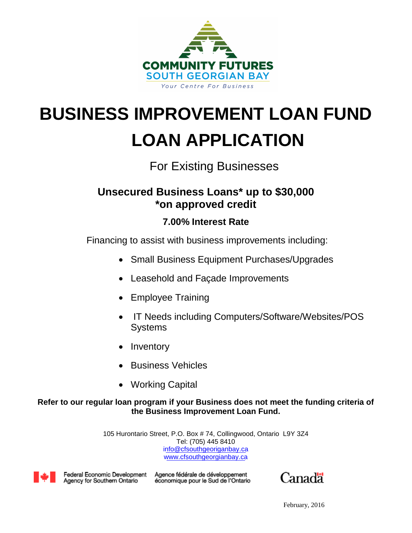

# **BUSINESS IMPROVEMENT LOAN FUND LOAN APPLICATION**

# For Existing Businesses

# **Unsecured Business Loans\* up to \$30,000 \*on approved credit**

# **7.00% Interest Rate**

Financing to assist with business improvements including:

- Small Business Equipment Purchases/Upgrades
- Leasehold and Façade Improvements
- Employee Training
- IT Needs including Computers/Software/Websites/POS **Systems**
- Inventory
- Business Vehicles
- Working Capital

# **Refer to our regular loan program if your Business does not meet the funding criteria of the Business Improvement Loan Fund.**

 Tel: (705) 445 8410 [info@cfsouthgeoriganbay.ca](mailto:info@centreforbusiness.ca) 105 Hurontario Street, P.O. Box # 74, Collingwood, Ontario L9Y 3Z4 [www.cfsouthgeorgianbay.ca](http://www.centreforbusiness.ca/)



Federal Economic Development Agency for Southern Ontario

Agence fédérale de développement économique pour le Sud de l'Ontario

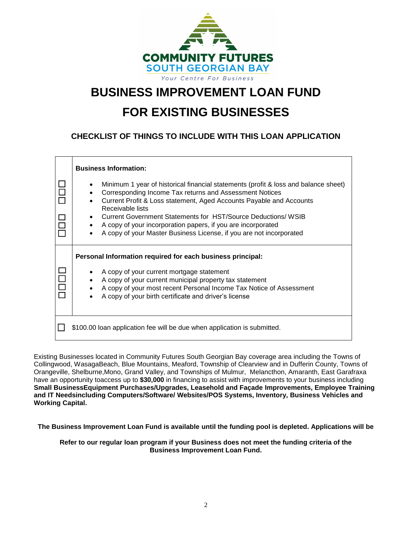

# **BUSINESS IMPROVEMENT LOAN FUND**

# **FOR EXISTING BUSINESSES**

**CHECKLIST OF THINGS TO INCLUDE WITH THIS LOAN APPLICATION**

| <b>Business Information:</b>                                                                                                                                                                                                                                                                                                                                                                                                                                   |
|----------------------------------------------------------------------------------------------------------------------------------------------------------------------------------------------------------------------------------------------------------------------------------------------------------------------------------------------------------------------------------------------------------------------------------------------------------------|
| Minimum 1 year of historical financial statements (profit & loss and balance sheet)<br>Corresponding Income Tax returns and Assessment Notices<br>Current Profit & Loss statement, Aged Accounts Payable and Accounts<br>Receivable lists<br>Current Government Statements for HST/Source Deductions/ WSIB<br>$\bullet$<br>A copy of your incorporation papers, if you are incorporated<br>A copy of your Master Business License, if you are not incorporated |
| Personal Information required for each business principal:                                                                                                                                                                                                                                                                                                                                                                                                     |
| A copy of your current mortgage statement<br>A copy of your current municipal property tax statement<br>A copy of your most recent Personal Income Tax Notice of Assessment<br>A copy of your birth certificate and driver's license                                                                                                                                                                                                                           |
| \$100.00 loan application fee will be due when application is submitted.                                                                                                                                                                                                                                                                                                                                                                                       |

Existing Businesses located in Community Futures South Georgian Bay coverage area including the Towns of Collingwood, WasagaBeach, Blue Mountains, Meaford, Township of Clearview and in Dufferin County, Towns of Orangeville, Shelburne,Mono, Grand Valley, and Townships of Mulmur, Melancthon, Amaranth, East Garafraxa have an opportunity toaccess up to **\$30,000** in financing to assist with improvements to your business including **Small BusinessEquipment Purchases/Upgrades, Leasehold and Façade Improvements, Employee Training and IT Needsincluding Computers/Software/ Websites/POS Systems, Inventory, Business Vehicles and Working Capital.**

**The Business Improvement Loan Fund is available until the funding pool is depleted. Applications will be**

**Refer to our regular loan program if your Business does not meet the funding criteria of the Business Improvement Loan Fund.**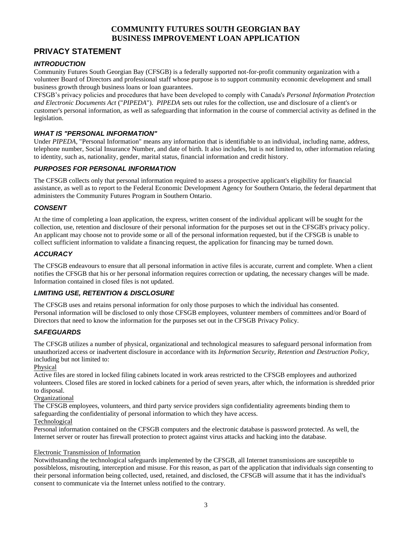# **PRIVACY STATEMENT**

#### *INTRODUCTION*

Community Futures South Georgian Bay (CFSGB) is a federally supported not-for-profit community organization with a volunteer Board of Directors and professional staff whose purpose is to support community economic development and small business growth through business loans or loan guarantees.

CFSGB's privacy policies and procedures that have been developed to comply with Canada's *Personal Information Protection and Electronic Documents Act* ("*PIPEDA*"). *PIPEDA* sets out rules for the collection, use and disclosure of a client's or customer's personal information, as well as safeguarding that information in the course of commercial activity as defined in the legislation.

#### *WHAT IS "PERSONAL INFORMATION"*

Under *PIPEDA,* "Personal Information" means any information that is identifiable to an individual, including name, address, telephone number, Social Insurance Number, and date of birth. It also includes, but is not limited to, other information relating to identity, such as, nationality, gender, marital status, financial information and credit history.

### *PURPOSES FOR PERSONAL INFORMATION*

The CFSGB collects only that personal information required to assess a prospective applicant's eligibility for financial assistance, as well as to report to the Federal Economic Development Agency for Southern Ontario, the federal department that administers the Community Futures Program in Southern Ontario.

#### *CONSENT*

At the time of completing a loan application, the express, written consent of the individual applicant will be sought for the collection, use, retention and disclosure of their personal information for the purposes set out in the CFSGB's privacy policy. An applicant may choose not to provide some or all of the personal information requested, but if the CFSGB is unable to collect sufficient information to validate a financing request, the application for financing may be turned down.

#### *ACCURACY*

The CFSGB endeavours to ensure that all personal information in active files is accurate, current and complete. When a client notifies the CFSGB that his or her personal information requires correction or updating, the necessary changes will be made. Information contained in closed files is not updated.

#### *LIMITING USE, RETENTION & DISCLOSURE*

The CFSGB uses and retains personal information for only those purposes to which the individual has consented. Personal information will be disclosed to only those CFSGB employees, volunteer members of committees and/or Board of Directors that need to know the information for the purposes set out in the CFSGB Privacy Policy.

#### *SAFEGUARDS*

The CFSGB utilizes a number of physical, organizational and technological measures to safeguard personal information from unauthorized access or inadvertent disclosure in accordance with its *Information Security, Retention and Destruction Policy*, including but not limited to:

#### Physical

Active files are stored in locked filing cabinets located in work areas restricted to the CFSGB employees and authorized volunteers. Closed files are stored in locked cabinets for a period of seven years, after which, the information is shredded prior to disposal.

#### Organizational

The CFSGB employees, volunteers, and third party service providers sign confidentiality agreements binding them to safeguarding the confidentiality of personal information to which they have access.

#### Technological

Personal information contained on the CFSGB computers and the electronic database is password protected. As well, the Internet server or router has firewall protection to protect against virus attacks and hacking into the database.

#### Electronic Transmission of Information

Notwithstanding the technological safeguards implemented by the CFSGB, all Internet transmissions are susceptible to possibleloss, misrouting, interception and misuse. For this reason, as part of the application that individuals sign consenting to their personal information being collected, used, retained, and disclosed, the CFSGB will assume that it has the individual's consent to communicate via the Internet unless notified to the contrary.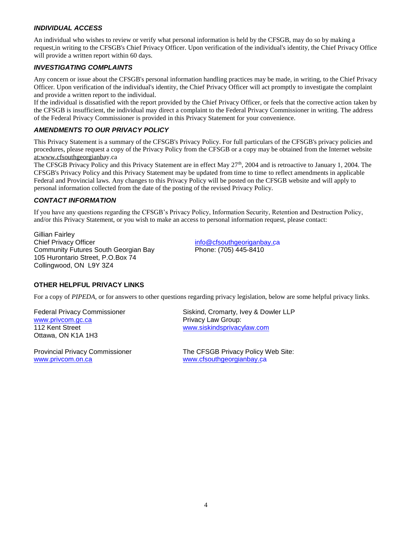#### *INDIVIDUAL ACCESS*

An individual who wishes to review or verify what personal information is held by the CFSGB, may do so by making a request,in writing to the CFSGB's Chief Privacy Officer. Upon verification of the individual's identity, the Chief Privacy Office will provide a written report within 60 days.

#### *INVESTIGATING COMPLAINTS*

Any concern or issue about the CFSGB's personal information handling practices may be made, in writing, to the Chief Privacy Officer. Upon verification of the individual's identity, the Chief Privacy Officer will act promptly to investigate the complaint and provide a written report to the individual.

If the individual is dissatisfied with the report provided by the Chief Privacy Officer, or feels that the corrective action taken by the CFSGB is insufficient, the individual may direct a complaint to the Federal Privacy Commissioner in writing. The address of the Federal Privacy Commissioner is provided in this Privacy Statement for your convenience.

#### *AMENDMENTS TO OUR PRIVACY POLICY*

This Privacy Statement is a summary of the CFSGB's Privacy Policy. For full particulars of the CFSGB's privacy policies and procedures, please request a copy of the Privacy Policy from the CFSGB or a copy may be obtained from the Internet website [at:www.cfsouthgeorgianbay](http://www.centreforbusiness.ca/).ca

The CFSGB Privacy Policy and this Privacy Statement are in effect May 27<sup>th</sup>, 2004 and is retroactive to January 1, 2004. The CFSGB's Privacy Policy and this Privacy Statement may be updated from time to time to reflect amendments in applicable Federal and Provincial laws. Any changes to this Privacy Policy will be posted on the CFSGB website and will apply to personal information collected from the date of the posting of the revised Privacy Policy.

#### *CONTACT INFORMATION*

If you have any questions regarding the CFSGB's Privacy Policy, Information Security, Retention and Destruction Policy, and/or this Privacy Statement, or you wish to make an access to personal information request, please contact:

Gillian Fairley Chief Privacy Officer Community Futures South Georgian Bay 105 Hurontario Street, P.O.Box 74 Collingwood, ON L9Y 3Z4

[info@cfsouthgeoriganbay.c](mailto:info@centreforbusiness.ca)a Phone: (705) 445-8410

#### **OTHER HELPFUL PRIVACY LINKS**

For a copy of *PIPEDA,* or for answers to other questions regarding privacy legislation, below are some helpful privacy links.

Federal Privacy Commissioner [www.privcom.gc.ca](http://www.privcom.gc.ca/) 112 Kent Street Ottawa, ON K1A 1H3

Provincial Privacy Commissioner [www.privcom.on.ca](http://www.privcom.on.ca/)

Siskind, Cromarty, Ivey & Dowler LLP Privacy Law Group: [www.siskindsprivacylaw.com](http://www.siskindsprivacylaw.com/)

The CFSGB Privacy Policy Web Site: www.cfsouthgeorgianbay.ca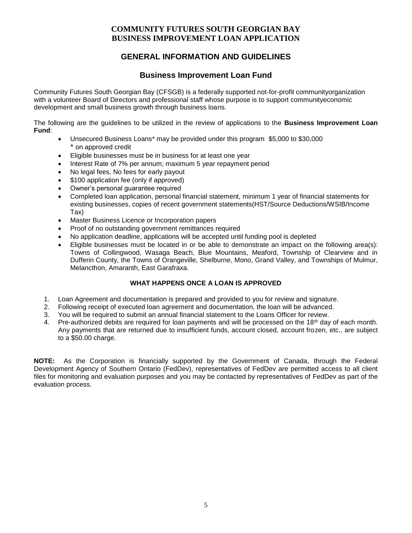## **GENERAL INFORMATION AND GUIDELINES**

## **Business Improvement Loan Fund**

Community Futures South Georgian Bay (CFSGB) is a federally supported not-for-profit communityorganization with a volunteer Board of Directors and professional staff whose purpose is to support communityeconomic development and small business growth through business loans.

The following are the guidelines to be utilized in the review of applications to the **Business Improvement Loan Fund**:

- Unsecured Business Loans\* may be provided under this program \$5,000 to \$30,000 \* on approved credit
- Eligible businesses must be in business for at least one year
- Interest Rate of 7% per annum; maximum 5 year repayment period
- No legal fees, No fees for early payout
- \$100 application fee (only if approved)
- Owner's personal guarantee required
- Completed loan application, personal financial statement, minimum 1 year of financial statements for existing businesses, copies of recent government statements(HST/Source Deductions/WSIB/Income Tax)
- Master Business Licence or Incorporation papers
- Proof of no outstanding government remittances required
- No application deadline, applications will be accepted until funding pool is depleted
- Eligible businesses must be located in or be able to demonstrate an impact on the following area(s): Towns of Collingwood, Wasaga Beach, Blue Mountains, Meaford, Township of Clearview and in Dufferin County, the Towns of Orangeville, Shelburne, Mono, Grand Valley, and Townships of Mulmur, Melancthon, Amaranth, East Garafraxa.

### **WHAT HAPPENS ONCE A LOAN IS APPROVED**

- 1. Loan Agreement and documentation is prepared and provided to you for review and signature.
- 2. Following receipt of executed loan agreement and documentation, the loan will be advanced.
- 3. You will be required to submit an annual financial statement to the Loans Officer for review.<br>4. Pre-authorized debits are required for loan payments and will be processed on the 18<sup>th</sup> day
- Pre-authorized debits are required for loan payments and will be processed on the 18<sup>th</sup> day of each month. Any payments that are returned due to insufficient funds, account closed, account frozen, etc., are subject to a \$50.00 charge.

**NOTE:** As the Corporation is financially supported by the Government of Canada, through the Federal Development Agency of Southern Ontario (FedDev), representatives of FedDev are permitted access to all client files for monitoring and evaluation purposes and you may be contacted by representatives of FedDev as part of the evaluation process.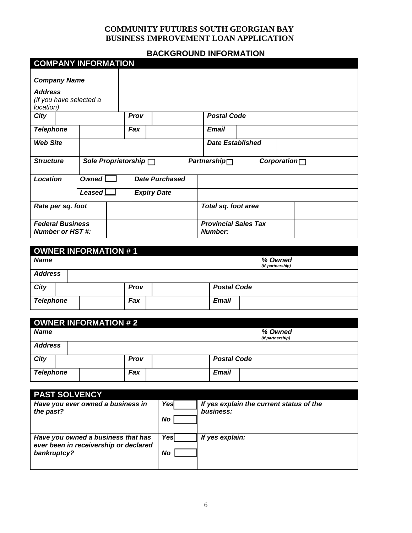# **BACKGROUND INFORMATION**

|                                                        | <b>COMPANY INFORMATION</b> |                            |                       |                                               |             |
|--------------------------------------------------------|----------------------------|----------------------------|-----------------------|-----------------------------------------------|-------------|
| <b>Company Name</b>                                    |                            |                            |                       |                                               |             |
| <b>Address</b><br>(if you have selected a<br>location) |                            |                            |                       |                                               |             |
| <b>City</b>                                            |                            | Prov                       |                       | <b>Postal Code</b>                            |             |
| <b>Telephone</b>                                       |                            | Fax                        |                       | <b>Email</b>                                  |             |
| <b>Web Site</b>                                        |                            |                            |                       | <b>Date Established</b>                       |             |
| <b>Structure</b>                                       |                            | Sole Proprietorship $\Box$ |                       | Partnership                                   | Corporation |
| Location                                               | Owned L                    |                            | <b>Date Purchased</b> |                                               |             |
|                                                        | Leased $\Box$              |                            | <b>Expiry Date</b>    |                                               |             |
| Rate per sq. foot                                      |                            |                            |                       | Total sq. foot area                           |             |
| <b>Federal Business</b><br><b>Number or HST#:</b>      |                            |                            |                       | <b>Provincial Sales Tax</b><br><b>Number:</b> |             |

| OWNER INFORMATION #1 |                |      |  |                    |                             |  |  |
|----------------------|----------------|------|--|--------------------|-----------------------------|--|--|
| <b>Name</b>          |                |      |  |                    | % Owned<br>(if partnership) |  |  |
|                      | <b>Address</b> |      |  |                    |                             |  |  |
| City                 |                | Prov |  | <b>Postal Code</b> |                             |  |  |
| <b>Telephone</b>     |                | Fax  |  | <b>Email</b>       |                             |  |  |

|                  | OWNER INFORMATION # 2 |      |  |                    |  |                             |  |
|------------------|-----------------------|------|--|--------------------|--|-----------------------------|--|
| <b>Name</b>      |                       |      |  |                    |  | % Owned<br>(if partnership) |  |
|                  | <b>Address</b>        |      |  |                    |  |                             |  |
| City             |                       | Prov |  | <b>Postal Code</b> |  |                             |  |
| <b>Telephone</b> |                       | Fax  |  | <b>Email</b>       |  |                             |  |

| <b>PAST SOLVENCY</b>                                                                       |            |                                                       |
|--------------------------------------------------------------------------------------------|------------|-------------------------------------------------------|
| Have you ever owned a business in<br>the past?                                             | Yesl<br>No | If yes explain the current status of the<br>business: |
| Have you owned a business that has<br>ever been in receivership or declared<br>bankruptcy? | Yesl<br>No | If yes explain:                                       |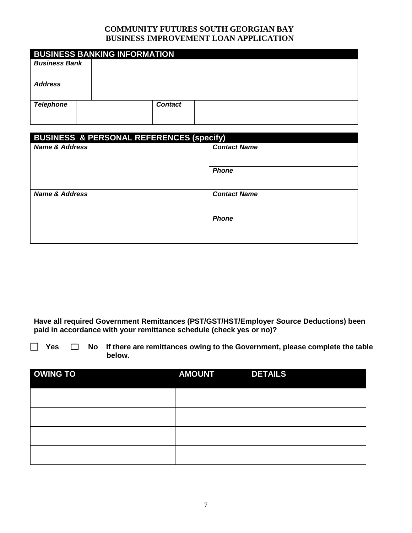| <b>BUSINESS BANKING INFORMATION</b> |                |  |  |  |  |  |  |
|-------------------------------------|----------------|--|--|--|--|--|--|
| <b>Business Bank</b>                |                |  |  |  |  |  |  |
|                                     |                |  |  |  |  |  |  |
| <b>Address</b>                      |                |  |  |  |  |  |  |
|                                     |                |  |  |  |  |  |  |
| <b>Telephone</b>                    | <b>Contact</b> |  |  |  |  |  |  |
|                                     |                |  |  |  |  |  |  |

| <b>BUSINESS &amp; PERSONAL REFERENCES (specify)</b> |                     |  |  |
|-----------------------------------------------------|---------------------|--|--|
| <b>Name &amp; Address</b>                           | <b>Contact Name</b> |  |  |
|                                                     |                     |  |  |
|                                                     | <b>Phone</b>        |  |  |
|                                                     |                     |  |  |
| <b>Name &amp; Address</b>                           | <b>Contact Name</b> |  |  |
|                                                     |                     |  |  |
|                                                     | <b>Phone</b>        |  |  |
|                                                     |                     |  |  |
|                                                     |                     |  |  |

**Have all required Government Remittances (PST/GST/HST/Employer Source Deductions) been paid in accordance with your remittance schedule (check yes or no)?** 

 **Yes No If there are remittances owing to the Government, please complete the table below.**

| <b>OWING TO</b> | <b>AMOUNT</b> | <b>DETAILS</b> |
|-----------------|---------------|----------------|
|                 |               |                |
|                 |               |                |
|                 |               |                |
|                 |               |                |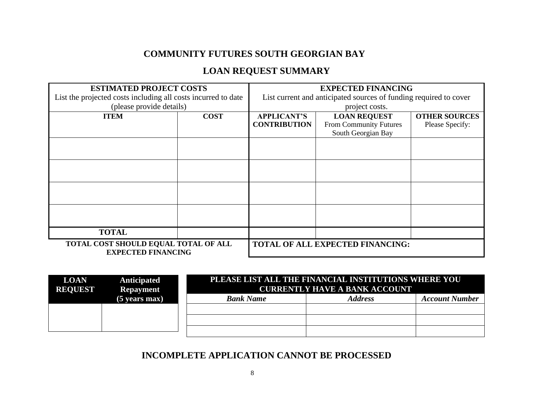# **COMMUNITY FUTURES SOUTH GEORGIAN BAY**

# **LOAN REQUEST SUMMARY**

| <b>ESTIMATED PROJECT COSTS</b>                                    |                                                                   | <b>EXPECTED FINANCING</b>               |                        |                      |  |
|-------------------------------------------------------------------|-------------------------------------------------------------------|-----------------------------------------|------------------------|----------------------|--|
| List the projected costs including all costs incurred to date     | List current and anticipated sources of funding required to cover |                                         |                        |                      |  |
| (please provide details)                                          |                                                                   |                                         | project costs.         |                      |  |
| <b>ITEM</b>                                                       | <b>COST</b>                                                       | <b>APPLICANT'S</b>                      | <b>LOAN REQUEST</b>    | <b>OTHER SOURCES</b> |  |
|                                                                   |                                                                   | <b>CONTRIBUTION</b>                     | From Community Futures | Please Specify:      |  |
|                                                                   |                                                                   |                                         | South Georgian Bay     |                      |  |
|                                                                   |                                                                   |                                         |                        |                      |  |
|                                                                   |                                                                   |                                         |                        |                      |  |
|                                                                   |                                                                   |                                         |                        |                      |  |
|                                                                   |                                                                   |                                         |                        |                      |  |
|                                                                   |                                                                   |                                         |                        |                      |  |
|                                                                   |                                                                   |                                         |                        |                      |  |
|                                                                   |                                                                   |                                         |                        |                      |  |
|                                                                   |                                                                   |                                         |                        |                      |  |
| <b>TOTAL</b>                                                      |                                                                   |                                         |                        |                      |  |
| TOTAL COST SHOULD EQUAL TOTAL OF ALL<br><b>EXPECTED FINANCING</b> |                                                                   | <b>TOTAL OF ALL EXPECTED FINANCING:</b> |                        |                      |  |

| <b>LOAN</b><br><b>REQUEST</b> | Anticipated<br><b>Repayment</b> | PLEASE LIST ALL THE FINANCIAL INSTITUTIONS WHERE YOU<br><b>CURRENTLY HAVE A BANK ACCOUNT</b> |                |                       |  |
|-------------------------------|---------------------------------|----------------------------------------------------------------------------------------------|----------------|-----------------------|--|
|                               | $(5$ years max)                 | <b>Bank Name</b>                                                                             | <b>Address</b> | <b>Account Number</b> |  |
|                               |                                 |                                                                                              |                |                       |  |
|                               |                                 |                                                                                              |                |                       |  |
|                               |                                 |                                                                                              |                |                       |  |

# **INCOMPLETE APPLICATION CANNOT BE PROCESSED**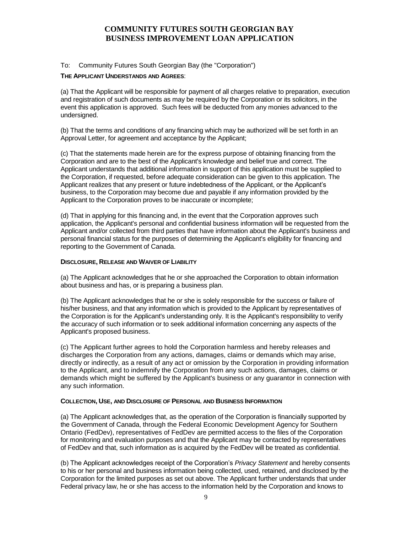#### To: Community Futures South Georgian Bay (the "Corporation")

#### **THE APPLICANT UNDERSTANDS AND AGREES**:

(a) That the Applicant will be responsible for payment of all charges relative to preparation, execution and registration of such documents as may be required by the Corporation or its solicitors, in the event this application is approved. Such fees will be deducted from any monies advanced to the undersigned.

(b) That the terms and conditions of any financing which may be authorized will be set forth in an Approval Letter, for agreement and acceptance by the Applicant;

(c) That the statements made herein are for the express purpose of obtaining financing from the Corporation and are to the best of the Applicant's knowledge and belief true and correct. The Applicant understands that additional information in support of this application must be supplied to the Corporation, if requested, before adequate consideration can be given to this application. The Applicant realizes that any present or future indebtedness of the Applicant, or the Applicant's business, to the Corporation may become due and payable if any information provided by the Applicant to the Corporation proves to be inaccurate or incomplete;

(d) That in applying for this financing and, in the event that the Corporation approves such application, the Applicant's personal and confidential business information will be requested from the Applicant and/or collected from third parties that have information about the Applicant's business and personal financial status for the purposes of determining the Applicant's eligibility for financing and reporting to the Government of Canada.

#### **DISCLOSURE, RELEASE AND WAIVER OF LIABILITY**

(a) The Applicant acknowledges that he or she approached the Corporation to obtain information about business and has, or is preparing a business plan.

(b) The Applicant acknowledges that he or she is solely responsible for the success or failure of his/her business, and that any information which is provided to the Applicant by representatives of the Corporation is for the Applicant's understanding only. It is the Applicant's responsibility to verify the accuracy of such information or to seek additional information concerning any aspects of the Applicant's proposed business.

(c) The Applicant further agrees to hold the Corporation harmless and hereby releases and discharges the Corporation from any actions, damages, claims or demands which may arise, directly or indirectly, as a result of any act or omission by the Corporation in providing information to the Applicant, and to indemnify the Corporation from any such actions, damages, claims or demands which might be suffered by the Applicant's business or any guarantor in connection with any such information.

#### **COLLECTION, USE, AND DISCLOSURE OF PERSONAL AND BUSINESS INFORMATION**

(a) The Applicant acknowledges that, as the operation of the Corporation is financially supported by the Government of Canada, through the Federal Economic Development Agency for Southern Ontario (FedDev), representatives of FedDev are permitted access to the files of the Corporation for monitoring and evaluation purposes and that the Applicant may be contacted by representatives of FedDev and that, such information as is acquired by the FedDev will be treated as confidential.

(b) The Applicant acknowledges receipt of the Corporation's *Privacy Statement* and hereby consents to his or her personal and business information being collected, used, retained, and disclosed by the Corporation for the limited purposes as set out above. The Applicant further understands that under Federal privacy law, he or she has access to the information held by the Corporation and knows to